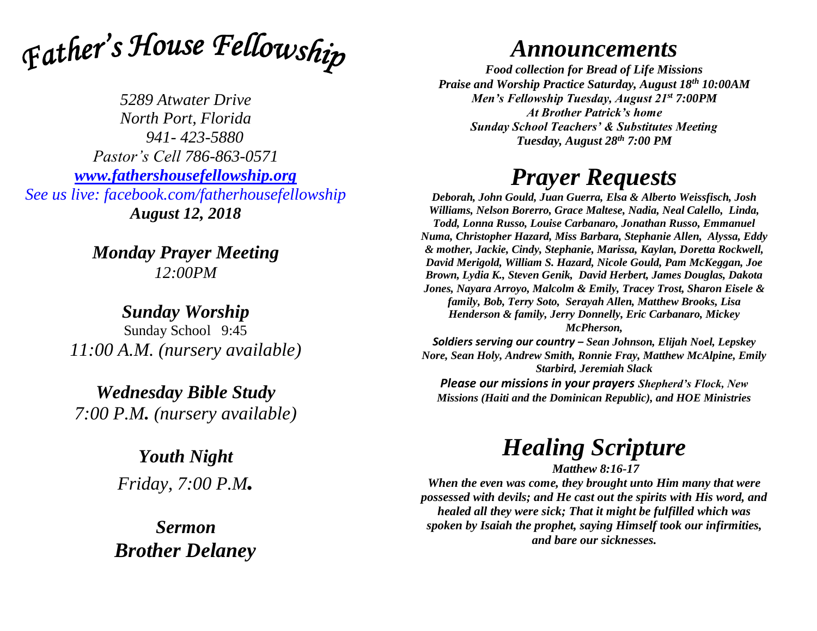

*5289 Atwater Drive North Port, Florida 941- 423-5880 Pastor's Cell 786-863-0571 [www.fathershousefellowship.org](http://www.fathershousefellowship.org/) See us live: facebook.com/fatherhousefellowship August 12, 2018*

> *Monday Prayer Meeting 12:00PM*

*Sunday Worship* Sunday School 9:45 *11:00 A.M. (nursery available)*

*Wednesday Bible Study 7:00 P.M. (nursery available)*

> *Youth Night Friday, 7:00 P.M.*

*Sermon Brother Delaney*

## *Announcements*

*Food collection for Bread of Life Missions Praise and Worship Practice Saturday, August 18th 10:00AM Men's Fellowship Tuesday, August 21st 7:00PM At Brother Patrick's home Sunday School Teachers' & Substitutes Meeting Tuesday, August 28th 7:00 PM*

## *Prayer Requests*

*Deborah, John Gould, Juan Guerra, Elsa & Alberto Weissfisch, Josh Williams, Nelson Borerro, Grace Maltese, Nadia, Neal Calello, Linda, Todd, Lonna Russo, Louise Carbanaro, Jonathan Russo, Emmanuel Numa, Christopher Hazard, Miss Barbara, Stephanie Allen, Alyssa, Eddy & mother, Jackie, Cindy, Stephanie, Marissa, Kaylan, Doretta Rockwell, David Merigold, William S. Hazard, Nicole Gould, Pam McKeggan, Joe Brown, Lydia K., Steven Genik, David Herbert, James Douglas, Dakota Jones, Nayara Arroyo, Malcolm & Emily, Tracey Trost, Sharon Eisele & family, Bob, Terry Soto, Serayah Allen, Matthew Brooks, Lisa Henderson & family, Jerry Donnelly, Eric Carbanaro, Mickey McPherson,* 

*Soldiers serving our country – Sean Johnson, Elijah Noel, Lepskey Nore, Sean Holy, Andrew Smith, Ronnie Fray, Matthew McAlpine, Emily Starbird, Jeremiah Slack*

*Please our missions in your prayers Shepherd's Flock, New Missions (Haiti and the Dominican Republic), and HOE Ministries*

## *Healing Scripture*

*Matthew 8:16-17 When the even was come, they brought unto Him many that were* 

*possessed with devils; and He cast out the spirits with His word, and healed all they were sick; That it might be fulfilled which was spoken by Isaiah the prophet, saying Himself took our infirmities, and bare our sicknesses.*